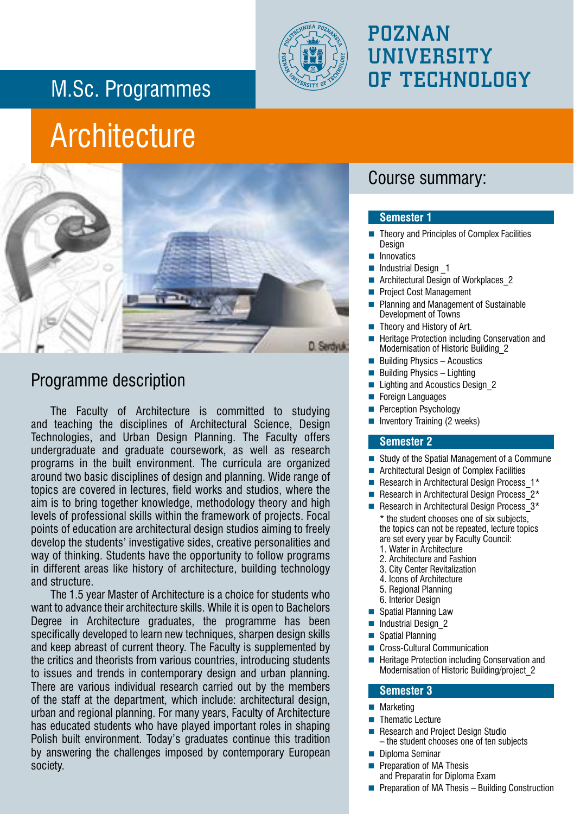## M.Sc. Programmes



## POZNAN **UNIVERSITY** OF TECHNOLOGY

## **Architecture**



### Programme description

The Faculty of Architecture is committed to studying and teaching the disciplines of Architectural Science, Design Technologies, and Urban Design Planning. The Faculty offers undergraduate and graduate coursework, as well as research programs in the built environment. The curricula are organized around two basic disciplines of design and planning. Wide range of topics are covered in lectures, field works and studios, where the aim is to bring together knowledge, methodology theory and high levels of professional skills within the framework of projects. Focal points of education are architectural design studios aiming to freely develop the students' investigative sides, creative personalities and way of thinking. Students have the opportunity to follow programs in different areas like history of architecture, building technology and structure.

The 1.5 year Master of Architecture is a choice for students who want to advance their architecture skills. While it is open to Bachelors Degree in Architecture graduates, the programme has been specifically developed to learn new techniques, sharpen design skills and keep abreast of current theory. The Faculty is supplemented by the critics and theorists from various countries, introducing students to issues and trends in contemporary design and urban planning. There are various individual research carried out by the members of the staff at the department, which include: architectural design, urban and regional planning. For many years, Faculty of Architecture has educated students who have played important roles in shaping Polish built environment. Today's graduates continue this tradition by answering the challenges imposed by contemporary European society.

#### Course summary:

#### **Semester 1**

- Theory and Principles of Complex Facilities **Design**
- **Innovatics**
- Industrial Design \_1
- Architectural Design of Workplaces\_2
- Project Cost Management
- Planning and Management of Sustainable Development of Towns
- Theory and History of Art.
- Heritage Protection including Conservation and Modernisation of Historic Building\_2
- $\blacksquare$  Building Physics Acoustics
- Building Physics Lighting
- Lighting and Acoustics Design\_2
- Foreign Languages
- Perception Psychology
- **Inventory Training (2 weeks)**

#### **Semester 2**

- Study of the Spatial Management of a Commune
- Architectural Design of Complex Facilities
- Research in Architectural Design Process 1\*
- Research in Architectural Design Process  $2*$
- Research in Architectural Design Process  $3*$ \* the student chooses one of six subjects, the topics can not be repeated, lecture topics are set every year by Faculty Council:
	- 1. Water in Architecture
	- 2. Architecture and Fashion
	- 3. City Center Revitalization
	- 4. Icons of Architecture 5. Regional Planning
	- 6. Interior Design
- Spatial Planning Law
- Industrial Design\_2
- Spatial Planning
- Cross-Cultural Communication
- Heritage Protection including Conservation and Modernisation of Historic Building/project\_2

#### **Semester 3**

- Marketing
- Thematic Lecture
- Research and Project Design Studio  $-$  the student chooses one of ten subjects
- **Diploma Seminar** 
	- Preparation of MA Thesis and Preparatin for Diploma Exam
- **Preparation of MA Thesis Building Construction**